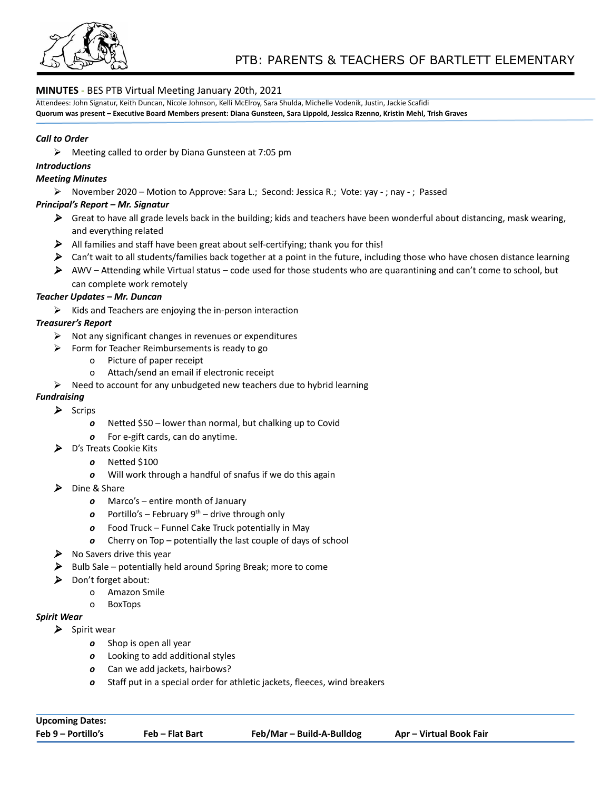

## **MINUTES -** BES PTB Virtual Meeting January 20th, 2021

Attendees: John Signatur, Keith Duncan, Nicole Johnson, Kelli McElroy, Sara Shulda, Michelle Vodenik, Justin, Jackie Scafidi

Quorum was present - Executive Board Members present: Diana Gunsteen, Sara Lippold, Jessica Rzenno, Kristin Mehl, Trish Graves

#### *Call to Order*

 $\triangleright$  Meeting called to order by Diana Gunsteen at 7:05 pm

### *Introductions*

#### *Meeting Minutes*

⮚ November 2020 – Motion to Approve: Sara L.; Second: Jessica R.; Vote: yay - ; nay - ; Passed

#### *Principal's Report – Mr. Signatur*

- $\triangleright$  Great to have all grade levels back in the building; kids and teachers have been wonderful about distancing, mask wearing, and everything related
- $\blacktriangleright$  All families and staff have been great about self-certifying; thank you for this!
- $\triangleright$  Can't wait to all students/families back together at a point in the future, including those who have chosen distance learning
- AWV Attending while Virtual status code used for those students who are quarantining and can't come to school, but can complete work remotely

#### *Teacher Updates – Mr. Duncan*

 $\triangleright$  Kids and Teachers are enjoying the in-person interaction

### *Treasurer's Report*

- $\triangleright$  Not any significant changes in revenues or expenditures
- $\triangleright$  Form for Teacher Reimbursements is ready to go
	- o Picture of paper receipt
	- o Attach/send an email if electronic receipt
- $\triangleright$  Need to account for any unbudgeted new teachers due to hybrid learning

## *Fundraising*

#### $\blacktriangleright$  Scrips

- *o* Netted \$50 lower than normal, but chalking up to Covid
- *o* For e-gift cards, can do anytime.
- ▶ D's Treats Cookie Kits
	- *o* Netted \$100
	- *o* Will work through a handful of snafus if we do this again
- ▶ Dine & Share
	- *o* Marco's entire month of January
	- *o* Portillo's February 9<sup>th</sup> drive through only
	- *o* Food Truck Funnel Cake Truck potentially in May
	- *o* Cherry on Top potentially the last couple of days of school
- $\triangleright$  No Savers drive this year
- $\triangleright$  Bulb Sale potentially held around Spring Break; more to come
- $\triangleright$  Don't forget about:
	- o Amazon Smile
	- o BoxTops

#### *Spirit Wear*

- $\blacktriangleright$  Spirit wear
	- *o* Shop is open all year
	- *o* Looking to add additional styles
	- *o* Can we add jackets, hairbows?
	- *o* Staff put in a special order for athletic jackets, fleeces, wind breakers

| <b>Upcoming Dates:</b> |                 |                           |                         |
|------------------------|-----------------|---------------------------|-------------------------|
| Feb 9 – Portillo's     | Feb – Flat Bart | Feb/Mar – Build-A-Bulldog | Apr – Virtual Book Fair |